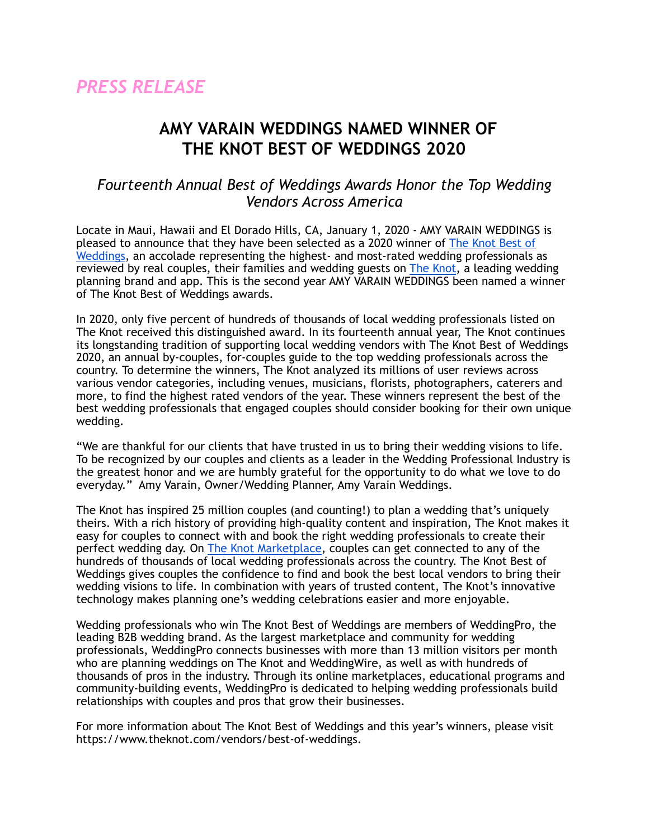## **AMY VARAIN WEDDINGS NAMED WINNER OF THE KNOT BEST OF WEDDINGS 2020**

## *Fourteenth Annual Best of Weddings Awards Honor the Top Wedding Vendors Across America*

Locate in Maui, Hawaii and El Dorado Hills, CA, January 1, 2020 - AMY VARAIN WEDDINGS is pleased to announce that they have been selected as a 2020 winner of [The Knot Best of](https://www.theknot.com/vendors/best-of-weddings)  [Weddings](https://www.theknot.com/vendors/best-of-weddings), an accolade representing the highest- and most-rated wedding professionals as reviewed by real couples, their families and wedding guests on [The Knot,](http://www.theknot.com) a leading wedding planning brand and app. This is the second year AMY VARAIN WEDDINGS been named a winner of The Knot Best of Weddings awards.

In 2020, only five percent of hundreds of thousands of local wedding professionals listed on The Knot received this distinguished award. In its fourteenth annual year, The Knot continues its longstanding tradition of supporting local wedding vendors with The Knot Best of Weddings 2020, an annual by-couples, for-couples guide to the top wedding professionals across the country. To determine the winners, The Knot analyzed its millions of user reviews across various vendor categories, including venues, musicians, florists, photographers, caterers and more, to find the highest rated vendors of the year. These winners represent the best of the best wedding professionals that engaged couples should consider booking for their own unique wedding.

"We are thankful for our clients that have trusted in us to bring their wedding visions to life. To be recognized by our couples and clients as a leader in the Wedding Professional Industry is the greatest honor and we are humbly grateful for the opportunity to do what we love to do everyday." Amy Varain, Owner/Wedding Planner, Amy Varain Weddings.

The Knot has inspired 25 million couples (and counting!) to plan a wedding that's uniquely theirs. With a rich history of providing high-quality content and inspiration, The Knot makes it easy for couples to connect with and book the right wedding professionals to create their perfect wedding day. On [The Knot Marketplace,](https://www.theknot.com/marketplace) couples can get connected to any of the hundreds of thousands of local wedding professionals across the country. The Knot Best of Weddings gives couples the confidence to find and book the best local vendors to bring their wedding visions to life. In combination with years of trusted content, The Knot's innovative technology makes planning one's wedding celebrations easier and more enjoyable.

Wedding professionals who win The Knot Best of Weddings are members of WeddingPro, the leading B2B wedding brand. As the largest marketplace and community for wedding professionals, WeddingPro connects businesses with more than 13 million visitors per month who are planning weddings on The Knot and WeddingWire, as well as with hundreds of thousands of pros in the industry. Through its online marketplaces, educational programs and community-building events, WeddingPro is dedicated to helping wedding professionals build relationships with couples and pros that grow their businesses.

For more information about The Knot Best of Weddings and this year's winners, please visit https://www.theknot.com/vendors/best-of-weddings.